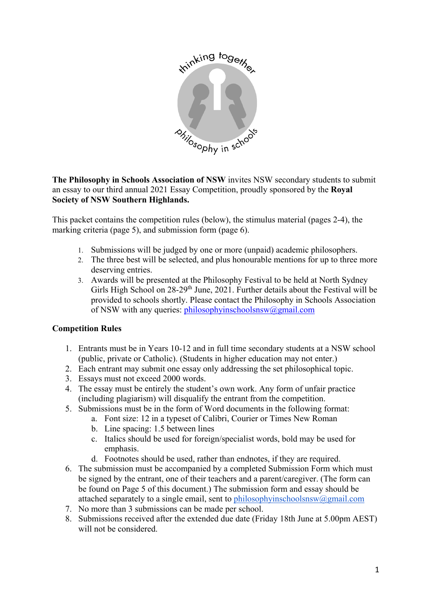

**The Philosophy in Schools Association of NSW** invites NSW secondary students to submit an essay to our third annual 2021 Essay Competition, proudly sponsored by the **Royal Society of NSW Southern Highlands.**

This packet contains the competition rules (below), the stimulus material (pages 2-4), the marking criteria (page 5), and submission form (page 6).

- 1. Submissions will be judged by one or more (unpaid) academic philosophers.
- 2. The three best will be selected, and plus honourable mentions for up to three more deserving entries.
- 3. Awards will be presented at the Philosophy Festival to be held at North Sydney Girls High School on  $28-29$ <sup>th</sup> June, 2021. Further details about the Festival will be provided to schools shortly. Please contact the Philosophy in Schools Association of NSW with any queries: philosophyinschoolsnsw@gmail.com

# **Competition Rules**

- 1. Entrants must be in Years 10-12 and in full time secondary students at a NSW school (public, private or Catholic). (Students in higher education may not enter.)
- 2. Each entrant may submit one essay only addressing the set philosophical topic.
- 3. Essays must not exceed 2000 words.
- 4. The essay must be entirely the student's own work. Any form of unfair practice (including plagiarism) will disqualify the entrant from the competition.
- 5. Submissions must be in the form of Word documents in the following format:
	- a. Font size: 12 in a typeset of Calibri, Courier or Times New Roman
	- b. Line spacing: 1.5 between lines
	- c. Italics should be used for foreign/specialist words, bold may be used for emphasis.
	- d. Footnotes should be used, rather than endnotes, if they are required.
- 6. The submission must be accompanied by a completed Submission Form which must be signed by the entrant, one of their teachers and a parent/caregiver. (The form can be found on Page 5 of this document.) The submission form and essay should be attached separately to a single email, sent to philosophyinschoolsnsw $@g$ gmail.com
- 7. No more than 3 submissions can be made per school.
- 8. Submissions received after the extended due date (Friday 18th June at 5.00pm AEST) will not be considered.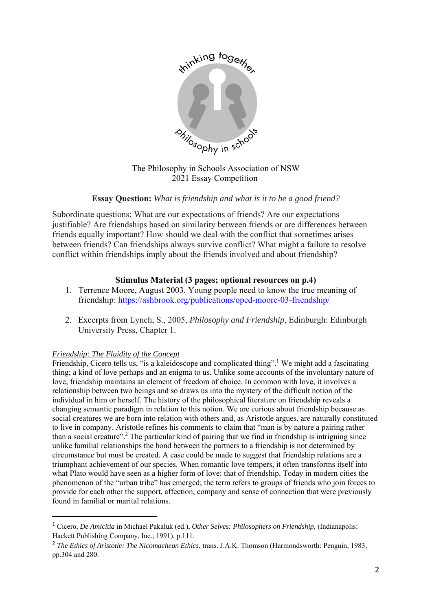

The Philosophy in Schools Association of NSW 2021 Essay Competition

# **Essay Question:** *What is friendship and what is it to be a good friend?*

Subordinate questions: What are our expectations of friends? Are our expectations justifiable? Are friendships based on similarity between friends or are differences between friends equally important? How should we deal with the conflict that sometimes arises between friends? Can friendships always survive conflict? What might a failure to resolve conflict within friendships imply about the friends involved and about friendship?

#### **Stimulus Material (3 pages; optional resources on p.4)**

- 1. Terrence Moore, August 2003. Young people need to know the true meaning of friendship: https://ashbrook.org/publications/oped-moore-03-friendship/
- 2. Excerpts from Lynch, S., 2005, *Philosophy and Friendship*, Edinburgh: Edinburgh University Press, Chapter 1.

#### *Friendship: The Fluidity of the Concept*

Friendship, Cicero tells us, "is a kaleidoscope and complicated thing".<sup>1</sup> We might add a fascinating thing; a kind of love perhaps and an enigma to us. Unlike some accounts of the involuntary nature of love, friendship maintains an element of freedom of choice. In common with love, it involves a relationship between two beings and so draws us into the mystery of the difficult notion of the individual in him or herself. The history of the philosophical literature on friendship reveals a changing semantic paradigm in relation to this notion. We are curious about friendship because as social creatures we are born into relation with others and, as Aristotle argues, are naturally constituted to live in company. Aristotle refines his comments to claim that "man is by nature a pairing rather than a social creature".<sup>2</sup> The particular kind of pairing that we find in friendship is intriguing since unlike familial relationships the bond between the partners to a friendship is not determined by circumstance but must be created. A case could be made to suggest that friendship relations are a triumphant achievement of our species. When romantic love tempers, it often transforms itself into what Plato would have seen as a higher form of love: that of friendship. Today in modern cities the phenomenon of the "urban tribe" has emerged; the term refers to groups of friends who join forces to provide for each other the support, affection, company and sense of connection that were previously found in familial or marital relations.

<sup>1</sup> Cicero, *De Amicitia* in Michael Pakaluk (ed.), *Other Selves: Philosophers on Friendship,* (Indianapolis: Hackett Publishing Company, Inc., 1991), p.111.

<sup>2</sup> *The Ethics of Aristotle: The Nicomachean Ethics*, trans. J.A.K. Thomson (Harmondsworth: Penguin, 1983, pp.304 and 280.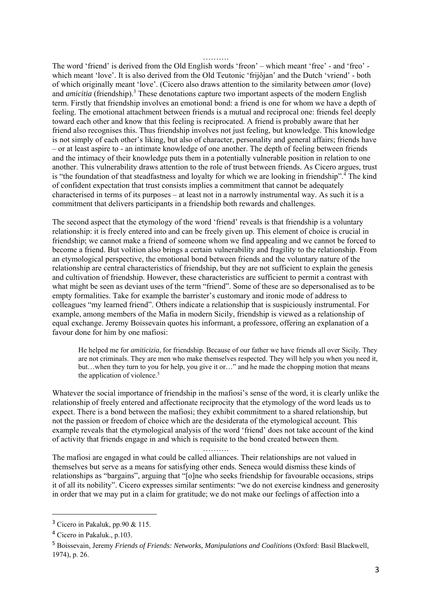The word 'friend' is derived from the Old English words 'freon' – which meant 'free' - and 'freo' which meant 'love'. It is also derived from the Old Teutonic 'frijôjan' and the Dutch 'vriend' - both of which originally meant 'love'. (Cicero also draws attention to the similarity between *amor* (love) and *amicitia* (friendship).<sup>3</sup> These denotations capture two important aspects of the modern English term. Firstly that friendship involves an emotional bond: a friend is one for whom we have a depth of feeling. The emotional attachment between friends is a mutual and reciprocal one: friends feel deeply toward each other and know that this feeling is reciprocated. A friend is probably aware that her friend also recognises this. Thus friendship involves not just feeling, but knowledge. This knowledge is not simply of each other's liking, but also of character, personality and general affairs; friends have – or at least aspire to - an intimate knowledge of one another. The depth of feeling between friends and the intimacy of their knowledge puts them in a potentially vulnerable position in relation to one another. This vulnerability draws attention to the role of trust between friends. As Cicero argues, trust is "the foundation of that steadfastness and loyalty for which we are looking in friendship".<sup>4</sup> The kind of confident expectation that trust consists implies a commitment that cannot be adequately characterised in terms of its purposes – at least not in a narrowly instrumental way. As such it is a commitment that delivers participants in a friendship both rewards and challenges.

………

The second aspect that the etymology of the word 'friend' reveals is that friendship is a voluntary relationship: it is freely entered into and can be freely given up. This element of choice is crucial in friendship; we cannot make a friend of someone whom we find appealing and we cannot be forced to become a friend. But volition also brings a certain vulnerability and fragility to the relationship. From an etymological perspective, the emotional bond between friends and the voluntary nature of the relationship are central characteristics of friendship, but they are not sufficient to explain the genesis and cultivation of friendship. However, these characteristics are sufficient to permit a contrast with what might be seen as deviant uses of the term "friend". Some of these are so depersonalised as to be empty formalities. Take for example the barrister's customary and ironic mode of address to colleagues "my learned friend". Others indicate a relationship that is suspiciously instrumental. For example, among members of the Mafia in modern Sicily, friendship is viewed as a relationship of equal exchange. Jeremy Boissevain quotes his informant, a professore, offering an explanation of a favour done for him by one mafiosi:

He helped me for *amiticizia*, for friendship. Because of our father we have friends all over Sicily. They are not criminals. They are men who make themselves respected. They will help you when you need it, but…when they turn to you for help, you give it or…" and he made the chopping motion that means the application of violence.<sup>5</sup>

Whatever the social importance of friendship in the mafiosi's sense of the word, it is clearly unlike the relationship of freely entered and affectionate reciprocity that the etymology of the word leads us to expect. There is a bond between the mafiosi; they exhibit commitment to a shared relationship, but not the passion or freedom of choice which are the desiderata of the etymological account. This example reveals that the etymological analysis of the word 'friend' does not take account of the kind of activity that friends engage in and which is requisite to the bond created between them.

……….

The mafiosi are engaged in what could be called alliances. Their relationships are not valued in themselves but serve as a means for satisfying other ends. Seneca would dismiss these kinds of relationships as "bargains", arguing that "[o]ne who seeks friendship for favourable occasions, strips it of all its nobility". Cicero expresses similar sentiments: "we do not exercise kindness and generosity in order that we may put in a claim for gratitude; we do not make our feelings of affection into a

<sup>&</sup>lt;sup>3</sup> Cicero in Pakaluk, pp.90 & 115.

<sup>4</sup> Cicero in Pakaluk., p.103.

<sup>5</sup> Boissevain, Jeremy *Friends of Friends: Networks, Manipulations and Coalitions* (Oxford: Basil Blackwell, 1974), p. 26.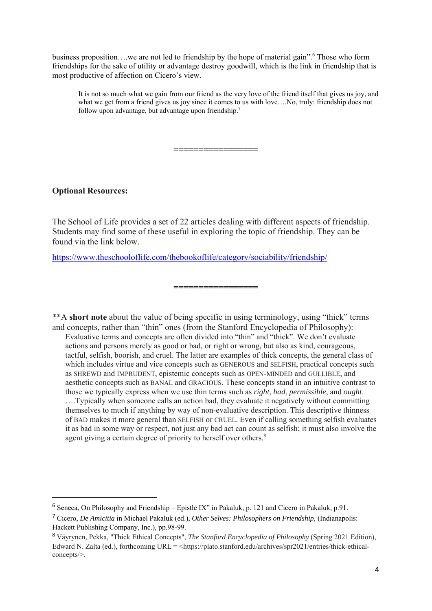business proposition....we are not led to friendship by the hope of material gain". Those who form friendships for the sake of utility or advantage destroy goodwill, which is the link in friendship that is most productive of affection on Cicero's view.

**=================** 

It is not so much what we gain from our friend as the very love of the friend itself that gives us joy, and what we get from a friend gives us joy since it comes to us with love....No, truly: friendship does not follow upon advantage, but advantage upon friendship.7

#### **Optional Resources:**

The School of Life provides a set of 22 articles dealing with different aspects of friendship. Students may find some of these useful in exploring the topic of friendship. They can be found via the link below.

**=================** 

https://www.theschooloflife.com/thebookoflife/category/sociability/friendship/

\*\*A **short note** about the value of being specific in using terminology, using "thick" terms and concepts, rather than "thin" ones (from the Stanford Encyclopedia of Philosophy): Evaluative terms and concepts are often divided into "thin" and "thick". We don't evaluate actions and persons merely as good or bad, or right or wrong, but also as kind, courageous, tactful, selfish, boorish, and cruel. The latter are examples of thick concepts, the general class of which includes virtue and vice concepts such as GENEROUS and SELFISH, practical concepts such as SHREWD and IMPRUDENT, epistemic concepts such as OPEN-MINDED and GULLIBLE, and aesthetic concepts such as BANAL and GRACIOUS. These concepts stand in an intuitive contrast to those we typically express when we use thin terms such as *right*, *bad*, *permissible*, and *ought*. ….Typically when someone calls an action bad, they evaluate it negatively without committing themselves to much if anything by way of non-evaluative description. This descriptive thinness of BAD makes it more general than SELFISH or CRUEL. Even if calling something selfish evaluates it as bad in some way or respect, not just any bad act can count as selfish; it must also involve the agent giving a certain degree of priority to herself over others.<sup>8</sup>

<sup>&</sup>lt;sup>6</sup> Seneca, On Philosophy and Friendship – Epistle IX" in Pakaluk, p. 121 and Cicero in Pakaluk, p.91.

<sup>7</sup> Cicero, *De Amicitia* in Michael Pakaluk (ed.), *Other Selves: Philosophers on Friendship,* (Indianapolis: Hackett Publishing Company, Inc.), pp.98-99.

<sup>8</sup> Väyrynen, Pekka, "Thick Ethical Concepts", *The Stanford Encyclopedia of Philosophy* (Spring 2021 Edition), Edward N. Zalta (ed.), forthcoming URL = <https://plato.stanford.edu/archives/spr2021/entries/thick-ethicalconcepts/>.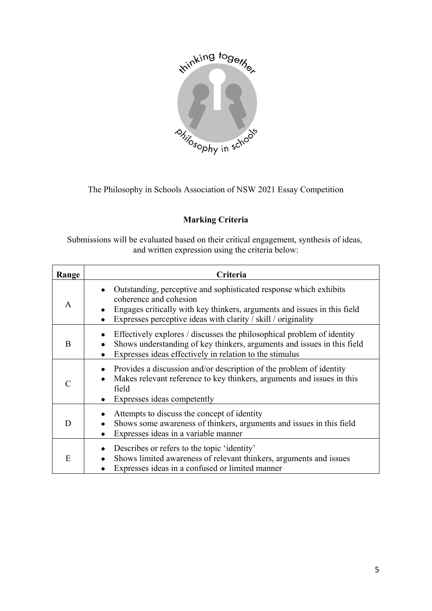

The Philosophy in Schools Association of NSW 2021 Essay Competition

# **Marking Criteria**

Submissions will be evaluated based on their critical engagement, synthesis of ideas, and written expression using the criteria below:

| Range | Criteria                                                                                                                                                                                                                                 |
|-------|------------------------------------------------------------------------------------------------------------------------------------------------------------------------------------------------------------------------------------------|
| A     | Outstanding, perceptive and sophisticated response which exhibits<br>coherence and cohesion<br>Engages critically with key thinkers, arguments and issues in this field<br>Expresses perceptive ideas with clarity / skill / originality |
| B     | Effectively explores / discusses the philosophical problem of identity<br>Shows understanding of key thinkers, arguments and issues in this field<br>Expresses ideas effectively in relation to the stimulus                             |
| C     | Provides a discussion and/or description of the problem of identity<br>Makes relevant reference to key thinkers, arguments and issues in this<br>field<br>Expresses ideas competently                                                    |
| D     | Attempts to discuss the concept of identity<br>Shows some awareness of thinkers, arguments and issues in this field<br>Expresses ideas in a variable manner                                                                              |
| E     | Describes or refers to the topic 'identity'<br>Shows limited awareness of relevant thinkers, arguments and issues<br>Expresses ideas in a confused or limited manner                                                                     |